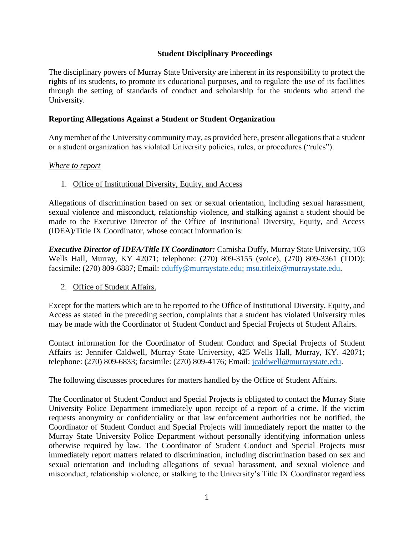#### **Student Disciplinary Proceedings**

The disciplinary powers of Murray State University are inherent in its responsibility to protect the rights of its students, to promote its educational purposes, and to regulate the use of its facilities through the setting of standards of conduct and scholarship for the students who attend the University.

#### **Reporting Allegations Against a Student or Student Organization**

Any member of the University community may, as provided here, present allegations that a student or a student organization has violated University policies, rules, or procedures ("rules").

#### *Where to report*

#### 1. Office of Institutional Diversity, Equity, and Access

Allegations of discrimination based on sex or sexual orientation, including sexual harassment, sexual violence and misconduct, relationship violence, and stalking against a student should be made to the Executive Director of the Office of Institutional Diversity, Equity, and Access (IDEA)/Title IX Coordinator, whose contact information is:

*Executive Director of IDEA/Title IX Coordinator:* Camisha Duffy, Murray State University, 103 Wells Hall, Murray, KY 42071; telephone: (270) 809-3155 (voice), (270) 809-3361 (TDD); facsimile: (270) 809-6887; Email: [cduffy@murraystate.edu;](mailto:cduffy@murraystate.edu) [msu.titleix@murraystate.edu.](mailto:msu.titleix@murraystate.edu)

#### 2. Office of Student Affairs.

Except for the matters which are to be reported to the Office of Institutional Diversity, Equity, and Access as stated in the preceding section, complaints that a student has violated University rules may be made with the Coordinator of Student Conduct and Special Projects of Student Affairs.

Contact information for the Coordinator of Student Conduct and Special Projects of Student Affairs is: Jennifer Caldwell, Murray State University, 425 Wells Hall, Murray, KY. 42071; telephone: (270) 809-6833; facsimile: (270) 809-4176; Email: [jcaldwell@murraystate.edu.](mailto:myoung@murraystate.edu)

The following discusses procedures for matters handled by the Office of Student Affairs.

The Coordinator of Student Conduct and Special Projects is obligated to contact the Murray State University Police Department immediately upon receipt of a report of a crime. If the victim requests anonymity or confidentiality or that law enforcement authorities not be notified, the Coordinator of Student Conduct and Special Projects will immediately report the matter to the Murray State University Police Department without personally identifying information unless otherwise required by law. The Coordinator of Student Conduct and Special Projects must immediately report matters related to discrimination, including discrimination based on sex and sexual orientation and including allegations of sexual harassment, and sexual violence and misconduct, relationship violence, or stalking to the University's Title IX Coordinator regardless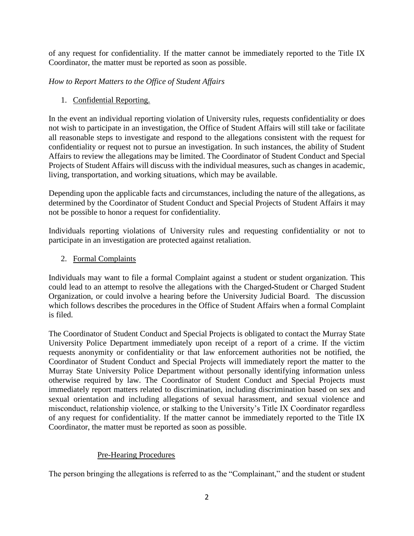of any request for confidentiality. If the matter cannot be immediately reported to the Title IX Coordinator, the matter must be reported as soon as possible.

*How to Report Matters to the Office of Student Affairs*

# 1. Confidential Reporting.

In the event an individual reporting violation of University rules, requests confidentiality or does not wish to participate in an investigation, the Office of Student Affairs will still take or facilitate all reasonable steps to investigate and respond to the allegations consistent with the request for confidentiality or request not to pursue an investigation. In such instances, the ability of Student Affairs to review the allegations may be limited. The Coordinator of Student Conduct and Special Projects of Student Affairs will discuss with the individual measures, such as changes in academic, living, transportation, and working situations, which may be available.

Depending upon the applicable facts and circumstances, including the nature of the allegations, as determined by the Coordinator of Student Conduct and Special Projects of Student Affairs it may not be possible to honor a request for confidentiality.

Individuals reporting violations of University rules and requesting confidentiality or not to participate in an investigation are protected against retaliation.

2. Formal Complaints

Individuals may want to file a formal Complaint against a student or student organization. This could lead to an attempt to resolve the allegations with the Charged Student or Charged Student Organization, or could involve a hearing before the University Judicial Board. The discussion which follows describes the procedures in the Office of Student Affairs when a formal Complaint is filed.

The Coordinator of Student Conduct and Special Projects is obligated to contact the Murray State University Police Department immediately upon receipt of a report of a crime. If the victim requests anonymity or confidentiality or that law enforcement authorities not be notified, the Coordinator of Student Conduct and Special Projects will immediately report the matter to the Murray State University Police Department without personally identifying information unless otherwise required by law. The Coordinator of Student Conduct and Special Projects must immediately report matters related to discrimination, including discrimination based on sex and sexual orientation and including allegations of sexual harassment, and sexual violence and misconduct, relationship violence, or stalking to the University's Title IX Coordinator regardless of any request for confidentiality. If the matter cannot be immediately reported to the Title IX Coordinator, the matter must be reported as soon as possible.

# Pre-Hearing Procedures

The person bringing the allegations is referred to as the "Complainant," and the student or student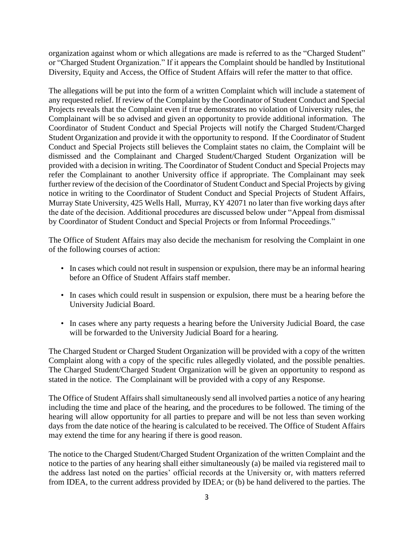organization against whom or which allegations are made is referred to as the "Charged Student" or "Charged Student Organization." If it appears the Complaint should be handled by Institutional Diversity, Equity and Access, the Office of Student Affairs will refer the matter to that office.

The allegations will be put into the form of a written Complaint which will include a statement of any requested relief. If review of the Complaint by the Coordinator of Student Conduct and Special Projects reveals that the Complaint even if true demonstrates no violation of University rules, the Complainant will be so advised and given an opportunity to provide additional information. The Coordinator of Student Conduct and Special Projects will notify the Charged Student/Charged Student Organization and provide it with the opportunity to respond. If the Coordinator of Student Conduct and Special Projects still believes the Complaint states no claim, the Complaint will be dismissed and the Complainant and Charged Student/Charged Student Organization will be provided with a decision in writing. The Coordinator of Student Conduct and Special Projects may refer the Complainant to another University office if appropriate. The Complainant may seek further review of the decision of the Coordinator of Student Conduct and Special Projects by giving notice in writing to the Coordinator of Student Conduct and Special Projects of Student Affairs, Murray State University, 425 Wells Hall, Murray, KY 42071 no later than five working days after the date of the decision. Additional procedures are discussed below under "Appeal from dismissal by Coordinator of Student Conduct and Special Projects or from Informal Proceedings."

The Office of Student Affairs may also decide the mechanism for resolving the Complaint in one of the following courses of action:

- In cases which could not result in suspension or expulsion, there may be an informal hearing before an Office of Student Affairs staff member.
- In cases which could result in suspension or expulsion, there must be a hearing before the University Judicial Board.
- In cases where any party requests a hearing before the University Judicial Board, the case will be forwarded to the University Judicial Board for a hearing.

The Charged Student or Charged Student Organization will be provided with a copy of the written Complaint along with a copy of the specific rules allegedly violated, and the possible penalties. The Charged Student/Charged Student Organization will be given an opportunity to respond as stated in the notice. The Complainant will be provided with a copy of any Response.

The Office of Student Affairs shall simultaneously send all involved parties a notice of any hearing including the time and place of the hearing, and the procedures to be followed. The timing of the hearing will allow opportunity for all parties to prepare and will be not less than seven working days from the date notice of the hearing is calculated to be received. The Office of Student Affairs may extend the time for any hearing if there is good reason.

The notice to the Charged Student/Charged Student Organization of the written Complaint and the notice to the parties of any hearing shall either simultaneously (a) be mailed via registered mail to the address last noted on the parties' official records at the University or, with matters referred from IDEA, to the current address provided by IDEA; or (b) be hand delivered to the parties. The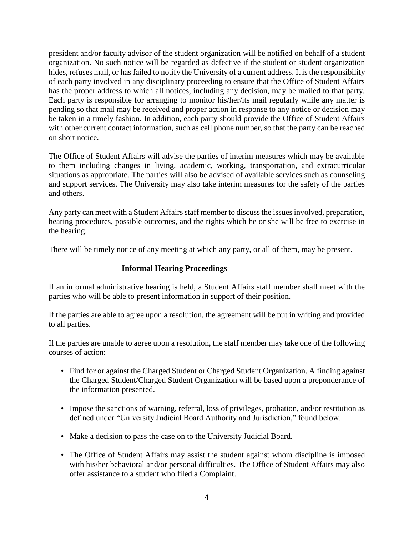president and/or faculty advisor of the student organization will be notified on behalf of a student organization. No such notice will be regarded as defective if the student or student organization hides, refuses mail, or has failed to notify the University of a current address. It is the responsibility of each party involved in any disciplinary proceeding to ensure that the Office of Student Affairs has the proper address to which all notices, including any decision, may be mailed to that party. Each party is responsible for arranging to monitor his/her/its mail regularly while any matter is pending so that mail may be received and proper action in response to any notice or decision may be taken in a timely fashion. In addition, each party should provide the Office of Student Affairs with other current contact information, such as cell phone number, so that the party can be reached on short notice.

The Office of Student Affairs will advise the parties of interim measures which may be available to them including changes in living, academic, working, transportation, and extracurricular situations as appropriate. The parties will also be advised of available services such as counseling and support services. The University may also take interim measures for the safety of the parties and others.

Any party can meet with a Student Affairs staff member to discuss the issues involved, preparation, hearing procedures, possible outcomes, and the rights which he or she will be free to exercise in the hearing.

There will be timely notice of any meeting at which any party, or all of them, may be present.

#### **Informal Hearing Proceedings**

If an informal administrative hearing is held, a Student Affairs staff member shall meet with the parties who will be able to present information in support of their position.

If the parties are able to agree upon a resolution, the agreement will be put in writing and provided to all parties.

If the parties are unable to agree upon a resolution, the staff member may take one of the following courses of action:

- Find for or against the Charged Student or Charged Student Organization. A finding against the Charged Student/Charged Student Organization will be based upon a preponderance of the information presented.
- Impose the sanctions of warning, referral, loss of privileges, probation, and/or restitution as defined under "University Judicial Board Authority and Jurisdiction," found below.
- Make a decision to pass the case on to the University Judicial Board.
- The Office of Student Affairs may assist the student against whom discipline is imposed with his/her behavioral and/or personal difficulties. The Office of Student Affairs may also offer assistance to a student who filed a Complaint.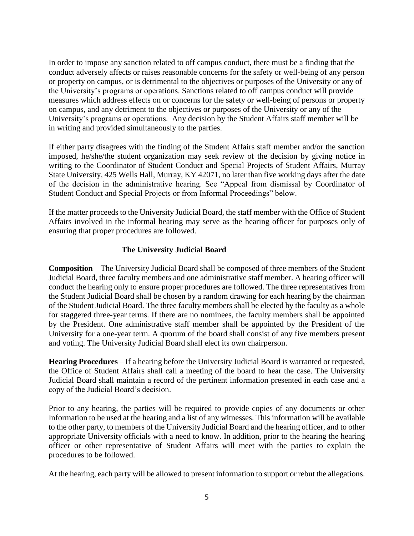In order to impose any sanction related to off campus conduct, there must be a finding that the conduct adversely affects or raises reasonable concerns for the safety or well-being of any person or property on campus, or is detrimental to the objectives or purposes of the University or any of the University's programs or operations. Sanctions related to off campus conduct will provide measures which address effects on or concerns for the safety or well-being of persons or property on campus, and any detriment to the objectives or purposes of the University or any of the University's programs or operations. Any decision by the Student Affairs staff member will be in writing and provided simultaneously to the parties.

If either party disagrees with the finding of the Student Affairs staff member and/or the sanction imposed, he/she/the student organization may seek review of the decision by giving notice in writing to the Coordinator of Student Conduct and Special Projects of Student Affairs, Murray State University, 425 Wells Hall, Murray, KY 42071, no later than five working days after the date of the decision in the administrative hearing. See "Appeal from dismissal by Coordinator of Student Conduct and Special Projects or from Informal Proceedings" below.

If the matter proceeds to the University Judicial Board, the staff member with the Office of Student Affairs involved in the informal hearing may serve as the hearing officer for purposes only of ensuring that proper procedures are followed.

## **The University Judicial Board**

**Composition** – The University Judicial Board shall be composed of three members of the Student Judicial Board, three faculty members and one administrative staff member. A hearing officer will conduct the hearing only to ensure proper procedures are followed. The three representatives from the Student Judicial Board shall be chosen by a random drawing for each hearing by the chairman of the Student Judicial Board. The three faculty members shall be elected by the faculty as a whole for staggered three-year terms. If there are no nominees, the faculty members shall be appointed by the President. One administrative staff member shall be appointed by the President of the University for a one-year term. A quorum of the board shall consist of any five members present and voting. The University Judicial Board shall elect its own chairperson.

**Hearing Procedures** – If a hearing before the University Judicial Board is warranted or requested, the Office of Student Affairs shall call a meeting of the board to hear the case. The University Judicial Board shall maintain a record of the pertinent information presented in each case and a copy of the Judicial Board's decision.

Prior to any hearing, the parties will be required to provide copies of any documents or other Information to be used at the hearing and a list of any witnesses. This information will be available to the other party, to members of the University Judicial Board and the hearing officer, and to other appropriate University officials with a need to know. In addition, prior to the hearing the hearing officer or other representative of Student Affairs will meet with the parties to explain the procedures to be followed.

At the hearing, each party will be allowed to present information to support or rebut the allegations.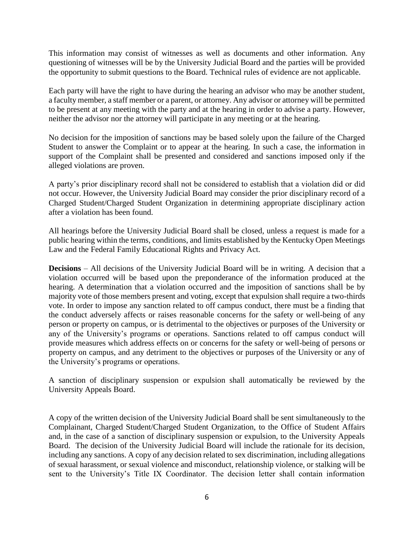This information may consist of witnesses as well as documents and other information. Any questioning of witnesses will be by the University Judicial Board and the parties will be provided the opportunity to submit questions to the Board. Technical rules of evidence are not applicable.

Each party will have the right to have during the hearing an advisor who may be another student, a faculty member, a staff member or a parent, or attorney. Any advisor or attorney will be permitted to be present at any meeting with the party and at the hearing in order to advise a party. However, neither the advisor nor the attorney will participate in any meeting or at the hearing.

No decision for the imposition of sanctions may be based solely upon the failure of the Charged Student to answer the Complaint or to appear at the hearing. In such a case, the information in support of the Complaint shall be presented and considered and sanctions imposed only if the alleged violations are proven.

A party's prior disciplinary record shall not be considered to establish that a violation did or did not occur. However, the University Judicial Board may consider the prior disciplinary record of a Charged Student/Charged Student Organization in determining appropriate disciplinary action after a violation has been found.

All hearings before the University Judicial Board shall be closed, unless a request is made for a public hearing within the terms, conditions, and limits established by the Kentucky Open Meetings Law and the Federal Family Educational Rights and Privacy Act.

**Decisions** – All decisions of the University Judicial Board will be in writing. A decision that a violation occurred will be based upon the preponderance of the information produced at the hearing. A determination that a violation occurred and the imposition of sanctions shall be by majority vote of those members present and voting, except that expulsion shall require a two-thirds vote. In order to impose any sanction related to off campus conduct, there must be a finding that the conduct adversely affects or raises reasonable concerns for the safety or well-being of any person or property on campus, or is detrimental to the objectives or purposes of the University or any of the University's programs or operations. Sanctions related to off campus conduct will provide measures which address effects on or concerns for the safety or well-being of persons or property on campus, and any detriment to the objectives or purposes of the University or any of the University's programs or operations.

A sanction of disciplinary suspension or expulsion shall automatically be reviewed by the University Appeals Board.

A copy of the written decision of the University Judicial Board shall be sent simultaneously to the Complainant, Charged Student/Charged Student Organization, to the Office of Student Affairs and, in the case of a sanction of disciplinary suspension or expulsion, to the University Appeals Board. The decision of the University Judicial Board will include the rationale for its decision, including any sanctions. A copy of any decision related to sex discrimination, including allegations of sexual harassment, or sexual violence and misconduct, relationship violence, or stalking will be sent to the University's Title IX Coordinator. The decision letter shall contain information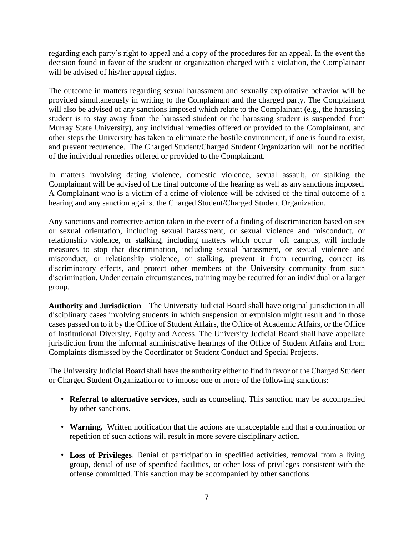regarding each party's right to appeal and a copy of the procedures for an appeal. In the event the decision found in favor of the student or organization charged with a violation, the Complainant will be advised of his/her appeal rights.

The outcome in matters regarding sexual harassment and sexually exploitative behavior will be provided simultaneously in writing to the Complainant and the charged party. The Complainant will also be advised of any sanctions imposed which relate to the Complainant (e.g., the harassing student is to stay away from the harassed student or the harassing student is suspended from Murray State University), any individual remedies offered or provided to the Complainant, and other steps the University has taken to eliminate the hostile environment, if one is found to exist, and prevent recurrence. The Charged Student/Charged Student Organization will not be notified of the individual remedies offered or provided to the Complainant.

In matters involving dating violence, domestic violence, sexual assault, or stalking the Complainant will be advised of the final outcome of the hearing as well as any sanctions imposed. A Complainant who is a victim of a crime of violence will be advised of the final outcome of a hearing and any sanction against the Charged Student/Charged Student Organization.

Any sanctions and corrective action taken in the event of a finding of discrimination based on sex or sexual orientation, including sexual harassment, or sexual violence and misconduct, or relationship violence, or stalking, including matters which occur off campus, will include measures to stop that discrimination, including sexual harassment, or sexual violence and misconduct, or relationship violence, or stalking, prevent it from recurring, correct its discriminatory effects, and protect other members of the University community from such discrimination. Under certain circumstances, training may be required for an individual or a larger group.

**Authority and Jurisdiction** – The University Judicial Board shall have original jurisdiction in all disciplinary cases involving students in which suspension or expulsion might result and in those cases passed on to it by the Office of Student Affairs, the Office of Academic Affairs, or the Office of Institutional Diversity, Equity and Access. The University Judicial Board shall have appellate jurisdiction from the informal administrative hearings of the Office of Student Affairs and from Complaints dismissed by the Coordinator of Student Conduct and Special Projects.

The University Judicial Board shall have the authority either to find in favor of the Charged Student or Charged Student Organization or to impose one or more of the following sanctions:

- **Referral to alternative services**, such as counseling. This sanction may be accompanied by other sanctions.
- **Warning.** Written notification that the actions are unacceptable and that a continuation or repetition of such actions will result in more severe disciplinary action.
- **Loss of Privileges**. Denial of participation in specified activities, removal from a living group, denial of use of specified facilities, or other loss of privileges consistent with the offense committed. This sanction may be accompanied by other sanctions.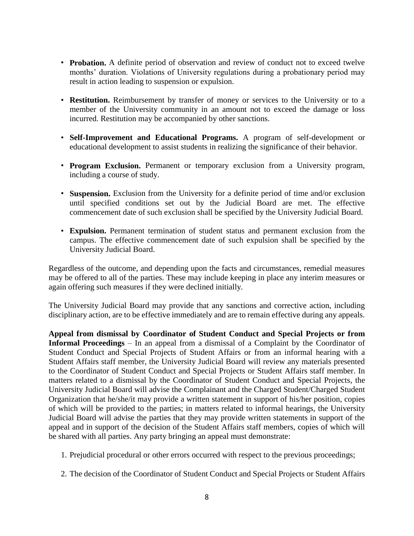- **Probation.** A definite period of observation and review of conduct not to exceed twelve months' duration. Violations of University regulations during a probationary period may result in action leading to suspension or expulsion.
- **Restitution.** Reimbursement by transfer of money or services to the University or to a member of the University community in an amount not to exceed the damage or loss incurred. Restitution may be accompanied by other sanctions.
- **Self-Improvement and Educational Programs.** A program of self-development or educational development to assist students in realizing the significance of their behavior.
- **Program Exclusion.** Permanent or temporary exclusion from a University program, including a course of study.
- **Suspension.** Exclusion from the University for a definite period of time and/or exclusion until specified conditions set out by the Judicial Board are met. The effective commencement date of such exclusion shall be specified by the University Judicial Board.
- **Expulsion.** Permanent termination of student status and permanent exclusion from the campus. The effective commencement date of such expulsion shall be specified by the University Judicial Board.

Regardless of the outcome, and depending upon the facts and circumstances, remedial measures may be offered to all of the parties. These may include keeping in place any interim measures or again offering such measures if they were declined initially.

The University Judicial Board may provide that any sanctions and corrective action, including disciplinary action, are to be effective immediately and are to remain effective during any appeals.

**Appeal from dismissal by Coordinator of Student Conduct and Special Projects or from Informal Proceedings** – In an appeal from a dismissal of a Complaint by the Coordinator of Student Conduct and Special Projects of Student Affairs or from an informal hearing with a Student Affairs staff member, the University Judicial Board will review any materials presented to the Coordinator of Student Conduct and Special Projects or Student Affairs staff member. In matters related to a dismissal by the Coordinator of Student Conduct and Special Projects, the University Judicial Board will advise the Complainant and the Charged Student/Charged Student Organization that he/she/it may provide a written statement in support of his/her position, copies of which will be provided to the parties; in matters related to informal hearings, the University Judicial Board will advise the parties that they may provide written statements in support of the appeal and in support of the decision of the Student Affairs staff members, copies of which will be shared with all parties. Any party bringing an appeal must demonstrate:

- 1. Prejudicial procedural or other errors occurred with respect to the previous proceedings;
- 2. The decision of the Coordinator of Student Conduct and Special Projects or Student Affairs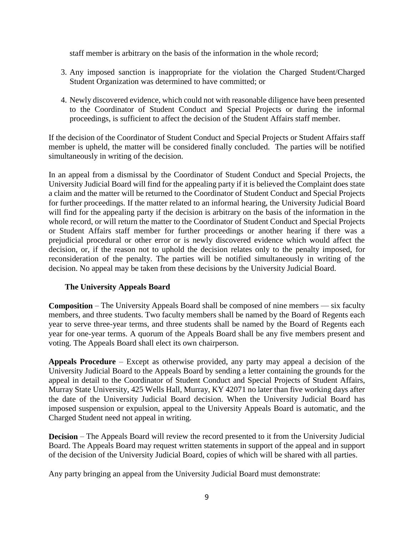staff member is arbitrary on the basis of the information in the whole record;

- 3. Any imposed sanction is inappropriate for the violation the Charged Student/Charged Student Organization was determined to have committed; or
- 4. Newly discovered evidence, which could not with reasonable diligence have been presented to the Coordinator of Student Conduct and Special Projects or during the informal proceedings, is sufficient to affect the decision of the Student Affairs staff member.

If the decision of the Coordinator of Student Conduct and Special Projects or Student Affairs staff member is upheld, the matter will be considered finally concluded. The parties will be notified simultaneously in writing of the decision.

In an appeal from a dismissal by the Coordinator of Student Conduct and Special Projects, the University Judicial Board will find for the appealing party if it is believed the Complaint does state a claim and the matter will be returned to the Coordinator of Student Conduct and Special Projects for further proceedings. If the matter related to an informal hearing, the University Judicial Board will find for the appealing party if the decision is arbitrary on the basis of the information in the whole record, or will return the matter to the Coordinator of Student Conduct and Special Projects or Student Affairs staff member for further proceedings or another hearing if there was a prejudicial procedural or other error or is newly discovered evidence which would affect the decision, or, if the reason not to uphold the decision relates only to the penalty imposed, for reconsideration of the penalty. The parties will be notified simultaneously in writing of the decision. No appeal may be taken from these decisions by the University Judicial Board.

## **The University Appeals Board**

**Composition** – The University Appeals Board shall be composed of nine members — six faculty members, and three students. Two faculty members shall be named by the Board of Regents each year to serve three-year terms, and three students shall be named by the Board of Regents each year for one-year terms. A quorum of the Appeals Board shall be any five members present and voting. The Appeals Board shall elect its own chairperson.

**Appeals Procedure** – Except as otherwise provided, any party may appeal a decision of the University Judicial Board to the Appeals Board by sending a letter containing the grounds for the appeal in detail to the Coordinator of Student Conduct and Special Projects of Student Affairs, Murray State University, 425 Wells Hall, Murray, KY 42071 no later than five working days after the date of the University Judicial Board decision. When the University Judicial Board has imposed suspension or expulsion, appeal to the University Appeals Board is automatic, and the Charged Student need not appeal in writing.

**Decision** – The Appeals Board will review the record presented to it from the University Judicial Board. The Appeals Board may request written statements in support of the appeal and in support of the decision of the University Judicial Board, copies of which will be shared with all parties.

Any party bringing an appeal from the University Judicial Board must demonstrate: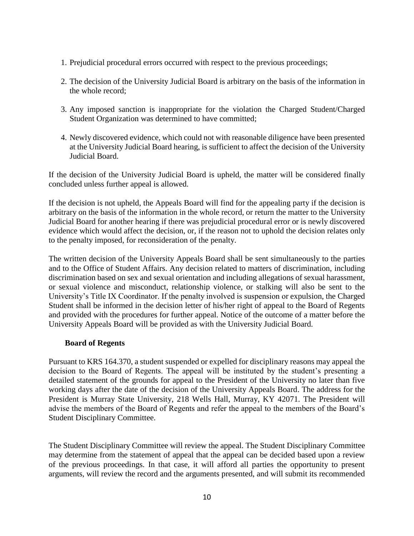- 1. Prejudicial procedural errors occurred with respect to the previous proceedings;
- 2. The decision of the University Judicial Board is arbitrary on the basis of the information in the whole record;
- 3. Any imposed sanction is inappropriate for the violation the Charged Student/Charged Student Organization was determined to have committed;
- 4. Newly discovered evidence, which could not with reasonable diligence have been presented at the University Judicial Board hearing, is sufficient to affect the decision of the University Judicial Board.

If the decision of the University Judicial Board is upheld, the matter will be considered finally concluded unless further appeal is allowed.

If the decision is not upheld, the Appeals Board will find for the appealing party if the decision is arbitrary on the basis of the information in the whole record, or return the matter to the University Judicial Board for another hearing if there was prejudicial procedural error or is newly discovered evidence which would affect the decision, or, if the reason not to uphold the decision relates only to the penalty imposed, for reconsideration of the penalty.

The written decision of the University Appeals Board shall be sent simultaneously to the parties and to the Office of Student Affairs. Any decision related to matters of discrimination, including discrimination based on sex and sexual orientation and including allegations of sexual harassment, or sexual violence and misconduct, relationship violence, or stalking will also be sent to the University's Title IX Coordinator. If the penalty involved is suspension or expulsion, the Charged Student shall be informed in the decision letter of his/her right of appeal to the Board of Regents and provided with the procedures for further appeal. Notice of the outcome of a matter before the University Appeals Board will be provided as with the University Judicial Board.

#### **Board of Regents**

Pursuant to KRS 164.370, a student suspended or expelled for disciplinary reasons may appeal the decision to the Board of Regents. The appeal will be instituted by the student's presenting a detailed statement of the grounds for appeal to the President of the University no later than five working days after the date of the decision of the University Appeals Board. The address for the President is Murray State University, 218 Wells Hall, Murray, KY 42071. The President will advise the members of the Board of Regents and refer the appeal to the members of the Board's Student Disciplinary Committee.

The Student Disciplinary Committee will review the appeal. The Student Disciplinary Committee may determine from the statement of appeal that the appeal can be decided based upon a review of the previous proceedings. In that case, it will afford all parties the opportunity to present arguments, will review the record and the arguments presented, and will submit its recommended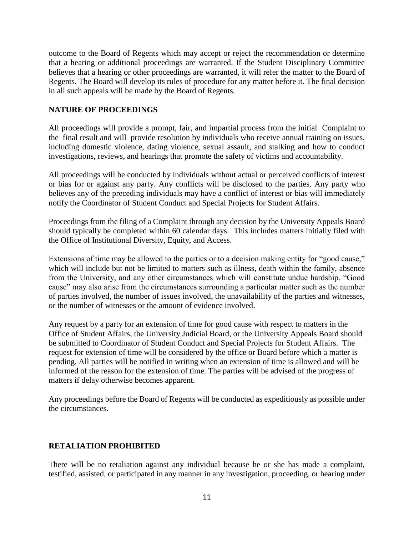outcome to the Board of Regents which may accept or reject the recommendation or determine that a hearing or additional proceedings are warranted. If the Student Disciplinary Committee believes that a hearing or other proceedings are warranted, it will refer the matter to the Board of Regents. The Board will develop its rules of procedure for any matter before it. The final decision in all such appeals will be made by the Board of Regents.

## **NATURE OF PROCEEDINGS**

All proceedings will provide a prompt, fair, and impartial process from the initial Complaint to the final result and will provide resolution by individuals who receive annual training on issues, including domestic violence, dating violence, sexual assault, and stalking and how to conduct investigations, reviews, and hearings that promote the safety of victims and accountability.

All proceedings will be conducted by individuals without actual or perceived conflicts of interest or bias for or against any party. Any conflicts will be disclosed to the parties. Any party who believes any of the preceding individuals may have a conflict of interest or bias will immediately notify the Coordinator of Student Conduct and Special Projects for Student Affairs.

Proceedings from the filing of a Complaint through any decision by the University Appeals Board should typically be completed within 60 calendar days. This includes matters initially filed with the Office of Institutional Diversity, Equity, and Access.

Extensions of time may be allowed to the parties or to a decision making entity for "good cause," which will include but not be limited to matters such as illness, death within the family, absence from the University, and any other circumstances which will constitute undue hardship. "Good cause" may also arise from the circumstances surrounding a particular matter such as the number of parties involved, the number of issues involved, the unavailability of the parties and witnesses, or the number of witnesses or the amount of evidence involved.

Any request by a party for an extension of time for good cause with respect to matters in the Office of Student Affairs, the University Judicial Board, or the University Appeals Board should be submitted to Coordinator of Student Conduct and Special Projects for Student Affairs. The request for extension of time will be considered by the office or Board before which a matter is pending. All parties will be notified in writing when an extension of time is allowed and will be informed of the reason for the extension of time. The parties will be advised of the progress of matters if delay otherwise becomes apparent.

Any proceedings before the Board of Regents will be conducted as expeditiously as possible under the circumstances.

#### **RETALIATION PROHIBITED**

There will be no retaliation against any individual because he or she has made a complaint, testified, assisted, or participated in any manner in any investigation, proceeding, or hearing under